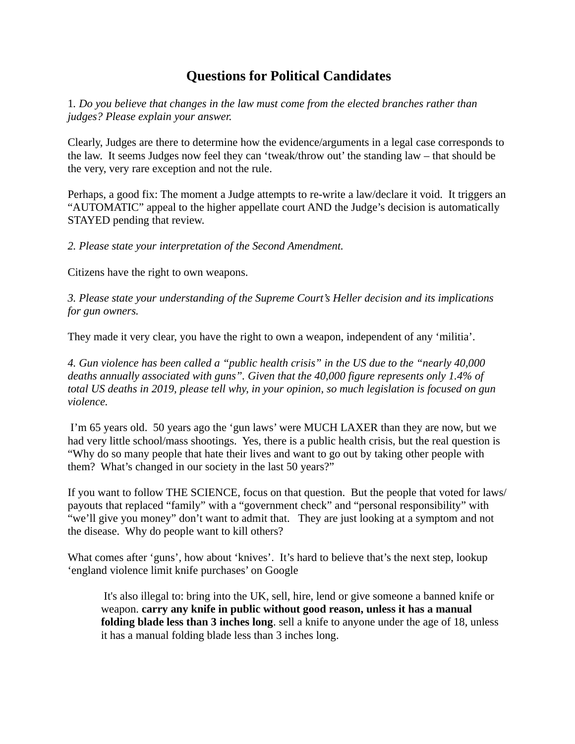## **Questions for Political Candidates**

1*. Do you believe that changes in the law must come from the elected branches rather than judges? Please explain your answer.*

Clearly, Judges are there to determine how the evidence/arguments in a legal case corresponds to the law. It seems Judges now feel they can 'tweak/throw out' the standing law – that should be the very, very rare exception and not the rule.

Perhaps, a good fix: The moment a Judge attempts to re-write a law/declare it void. It triggers an "AUTOMATIC" appeal to the higher appellate court AND the Judge's decision is automatically STAYED pending that review.

*2. Please state your interpretation of the Second Amendment.*

Citizens have the right to own weapons.

*3. Please state your understanding of the Supreme Court's Heller decision and its implications for gun owners.*

They made it very clear, you have the right to own a weapon, independent of any 'militia'.

*4. Gun violence has been called a "public health crisis" in the US due to the "nearly 40,000 deaths annually associated with guns". Given that the 40,000 figure represents only 1.4% of total US deaths in 2019, please tell why, in your opinion, so much legislation is focused on gun violence.*

 I'm 65 years old. 50 years ago the 'gun laws' were MUCH LAXER than they are now, but we had very little school/mass shootings. Yes, there is a public health crisis, but the real question is "Why do so many people that hate their lives and want to go out by taking other people with them? What's changed in our society in the last 50 years?"

If you want to follow THE SCIENCE, focus on that question. But the people that voted for laws/ payouts that replaced "family" with a "government check" and "personal responsibility" with "we'll give you money" don't want to admit that. They are just looking at a symptom and not the disease. Why do people want to kill others?

What comes after 'guns', how about 'knives'. It's hard to believe that's the next step, lookup 'england violence limit knife purchases' on Google

 It's also illegal to: bring into the UK, sell, hire, lend or give someone a banned knife or weapon. **carry any knife in public without good reason, unless it has a manual folding blade less than 3 inches long**. sell a knife to anyone under the age of 18, unless it has a manual folding blade less than 3 inches long.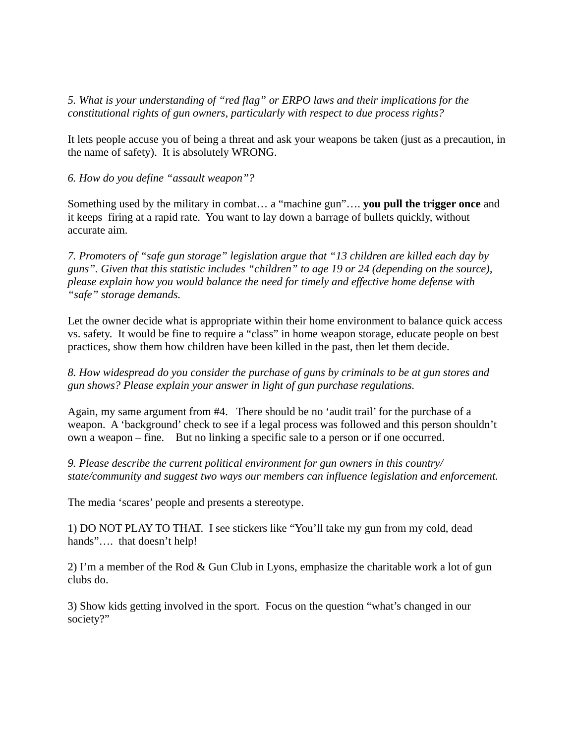*5. What is your understanding of "red flag" or ERPO laws and their implications for the constitutional rights of gun owners, particularly with respect to due process rights?*

It lets people accuse you of being a threat and ask your weapons be taken (just as a precaution, in the name of safety). It is absolutely WRONG.

*6. How do you define "assault weapon"?*

Something used by the military in combat… a "machine gun"…. **you pull the trigger once** and it keeps firing at a rapid rate. You want to lay down a barrage of bullets quickly, without accurate aim.

*7. Promoters of "safe gun storage" legislation argue that "13 children are killed each day by guns". Given that this statistic includes "children" to age 19 or 24 (depending on the source), please explain how you would balance the need for timely and effective home defense with "safe" storage demands.*

Let the owner decide what is appropriate within their home environment to balance quick access vs. safety. It would be fine to require a "class" in home weapon storage, educate people on best practices, show them how children have been killed in the past, then let them decide.

*8. How widespread do you consider the purchase of guns by criminals to be at gun stores and gun shows? Please explain your answer in light of gun purchase regulations.*

Again, my same argument from #4. There should be no 'audit trail' for the purchase of a weapon. A 'background' check to see if a legal process was followed and this person shouldn't own a weapon – fine. But no linking a specific sale to a person or if one occurred.

*9. Please describe the current political environment for gun owners in this country/ state/community and suggest two ways our members can influence legislation and enforcement.*

The media 'scares' people and presents a stereotype.

1) DO NOT PLAY TO THAT. I see stickers like "You'll take my gun from my cold, dead hands".... that doesn't help!

2) I'm a member of the Rod & Gun Club in Lyons, emphasize the charitable work a lot of gun clubs do.

3) Show kids getting involved in the sport. Focus on the question "what's changed in our society?"